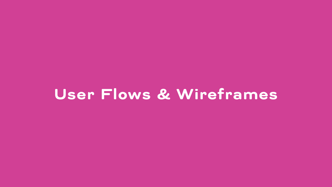## User Flows & Wireframes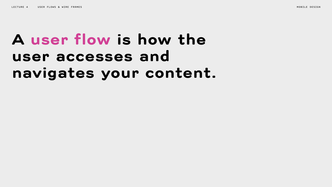## A user flow is how the user accesses and navigates your content.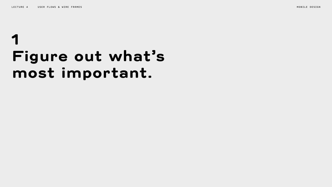## 1 Figure out what's most important.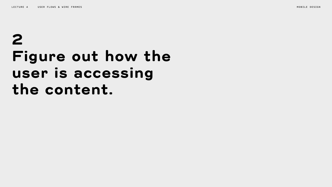## 2 Figure out how the user is accessing the content.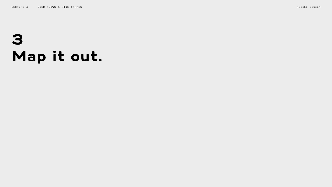# 3 Map it out.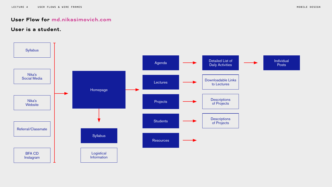## User Flow for md.nikasimovich.com

## User is a student.

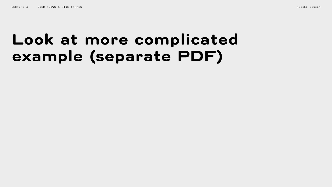# Look at more complicated example (separate PDF)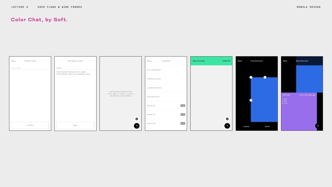## Color Chat, by Soft.

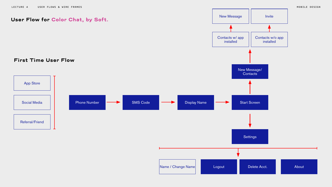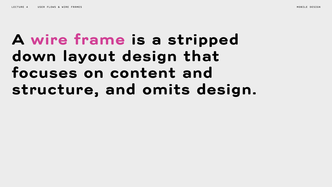# A wire frame is a stripped down layout design that focuses on content and structure, and omits design.